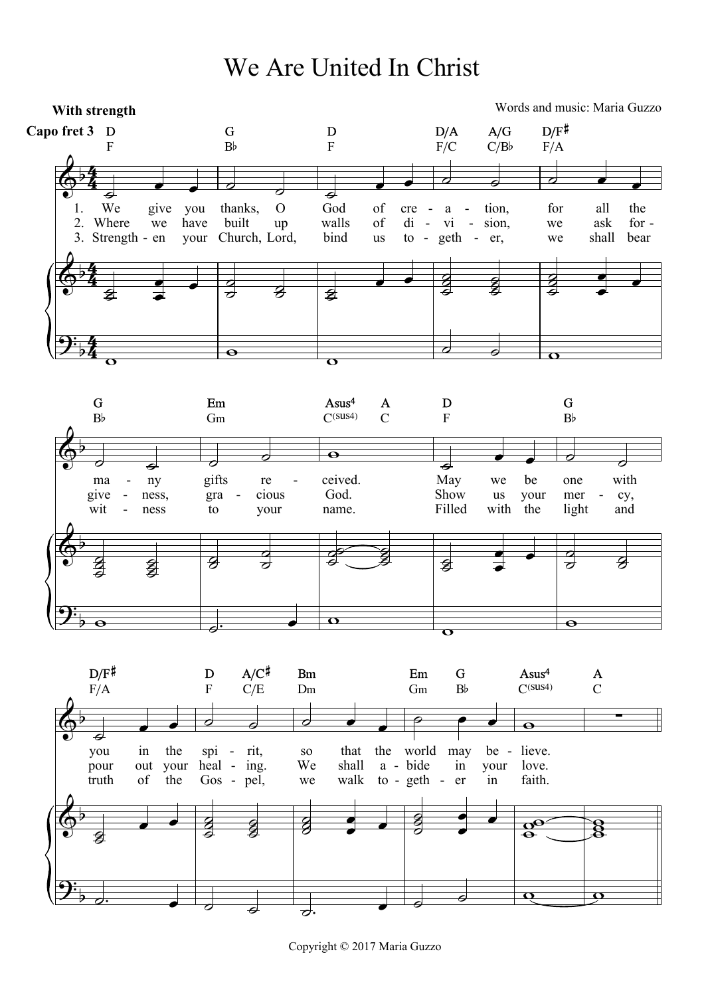We Are United In Christ



Copyright © 2017 Maria Guzzo